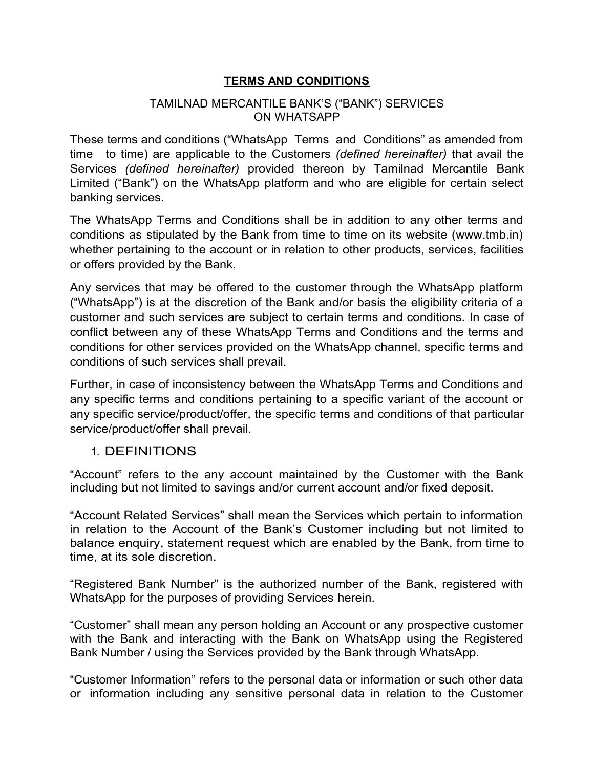### **TERMS AND CONDITIONS**

#### TAMILNAD MERCANTILE BANK'S ("BANK") SERVICES ON WHATSAPP

These terms and conditions ("WhatsApp Terms and Conditions" as amended from time to time) are applicable to the Customers *(defined hereinafter)* that avail the Services *(defined hereinafter)* provided thereon by Tamilnad Mercantile Bank Limited ("Bank") on the WhatsApp platform and who are eligible for certain select banking services.

The WhatsApp Terms and Conditions shall be in addition to any other terms and conditions as stipulated by the Bank from time to time on its website (www.tmb.in) whether pertaining to the account or in relation to other products, services, facilities or offers provided by the Bank.

Any services that may be offered to the customer through the WhatsApp platform ("WhatsApp") is at the discretion of the Bank and/or basis the eligibility criteria of a customer and such services are subject to certain terms and conditions. In case of conflict between any of these WhatsApp Terms and Conditions and the terms and conditions for other services provided on the WhatsApp channel, specific terms and conditions of such services shall prevail.

Further, in case of inconsistency between the WhatsApp Terms and Conditions and any specific terms and conditions pertaining to a specific variant of the account or any specific service/product/offer, the specific terms and conditions of that particular service/product/offer shall prevail.

### 1. DEFINITIONS

"Account" refers to the any account maintained by the Customer with the Bank including but not limited to savings and/or current account and/or fixed deposit.

"Account Related Services" shall mean the Services which pertain to information in relation to the Account of the Bank's Customer including but not limited to balance enquiry, statement request which are enabled by the Bank, from time to time, at its sole discretion.

"Registered Bank Number" is the authorized number of the Bank, registered with WhatsApp for the purposes of providing Services herein.

"Customer" shall mean any person holding an Account or any prospective customer with the Bank and interacting with the Bank on WhatsApp using the Registered Bank Number / using the Services provided by the Bank through WhatsApp.

"Customer Information" refers to the personal data or information or such other data or information including any sensitive personal data in relation to the Customer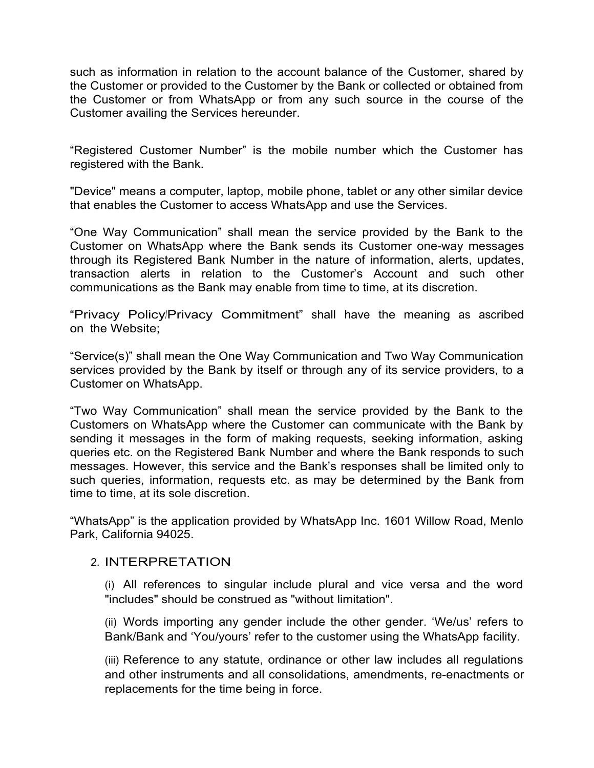such as information in relation to the account balance of the Customer, shared by the Customer or provided to the Customer by the Bank or collected or obtained from the Customer or from WhatsApp or from any such source in the course of the Customer availing the Services hereunder.

"Registered Customer Number" is the mobile number which the Customer has registered with the Bank.

"Device" means a computer, laptop, mobile phone, tablet or any other similar device that enables the Customer to access WhatsApp and use the Services.

"One Way Communication" shall mean the service provided by the Bank to the Customer on WhatsApp where the Bank sends its Customer one-way messages through its Registered Bank Number in the nature of information, alerts, updates, transaction alerts in relation to the Customer's Account and such other communications as the Bank may enable from time to time, at its discretion.

"Privacy Policy/Privacy Commitment" shall have the meaning as ascribed on the Website;

"Service(s)" shall mean the One Way Communication and Two Way Communication services provided by the Bank by itself or through any of its service providers, to a Customer on WhatsApp.

"Two Way Communication" shall mean the service provided by the Bank to the Customers on WhatsApp where the Customer can communicate with the Bank by sending it messages in the form of making requests, seeking information, asking queries etc. on the Registered Bank Number and where the Bank responds to such messages. However, this service and the Bank's responses shall be limited only to such queries, information, requests etc. as may be determined by the Bank from time to time, at its sole discretion.

"WhatsApp" is the application provided by WhatsApp Inc. 1601 Willow Road, Menlo Park, California 94025.

### 2. INTERPRETATION

(i) All references to singular include plural and vice versa and the word "includes" should be construed as "without limitation".

(ii) Words importing any gender include the other gender. 'We/us' refers to Bank/Bank and 'You/yours' refer to the customer using the WhatsApp facility.

(iii) Reference to any statute, ordinance or other law includes all regulations and other instruments and all consolidations, amendments, re-enactments or replacements for the time being in force.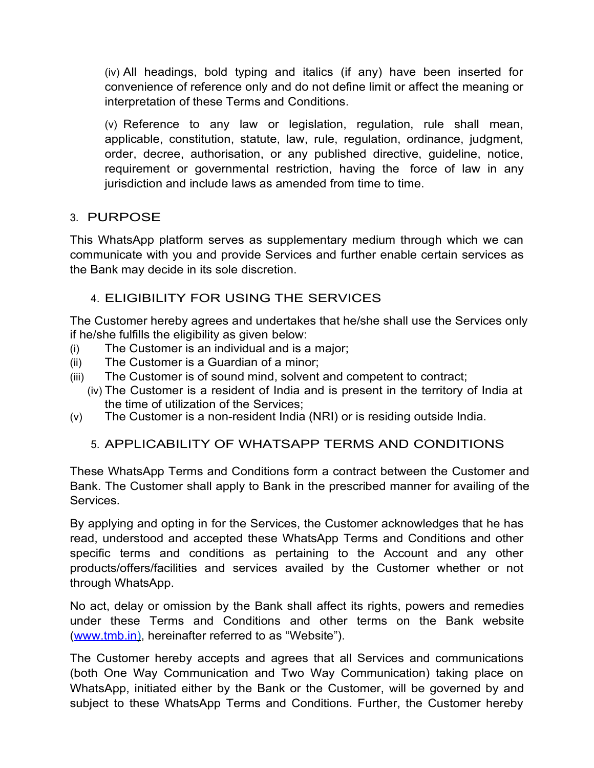(iv) All headings, bold typing and italics (if any) have been inserted for convenience of reference only and do not define limit or affect the meaning or interpretation of these Terms and Conditions.

(v) Reference to any law or legislation, regulation, rule shall mean, applicable, constitution, statute, law, rule, regulation, ordinance, judgment, order, decree, authorisation, or any published directive, guideline, notice, requirement or governmental restriction, having the force of law in any jurisdiction and include laws as amended from time to time.

# 3. PURPOSE

This WhatsApp platform serves as supplementary medium through which we can communicate with you and provide Services and further enable certain services as the Bank may decide in its sole discretion.

# 4. ELIGIBILITY FOR USING THE SERVICES

The Customer hereby agrees and undertakes that he/she shall use the Services only if he/she fulfills the eligibility as given below:

- (i) The Customer is an individual and is a major;
- (ii) The Customer is a Guardian of a minor;
- (iii) The Customer is of sound mind, solvent and competent to contract;
	- (iv) The Customer is a resident of India and is present in the territory of India at the time of utilization of the Services;
- (v) The Customer is a non-resident India (NRI) or is residing outside India.

# 5. APPLICABILITY OF WHATSAPP TERMS AND CONDITIONS

These WhatsApp Terms and Conditions form a contract between the Customer and Bank. The Customer shall apply to Bank in the prescribed manner for availing of the Services.

By applying and opting in for the Services, the Customer acknowledges that he has read, understood and accepted these WhatsApp Terms and Conditions and other specific terms and conditions as pertaining to the Account and any other products/offers/facilities and services availed by the Customer whether or not through WhatsApp.

No act, delay or omission by the Bank shall affect its rights, powers and remedies under these Terms and Conditions and other terms on the Bank website [\( www.tmb.in \)](http://www.icicibank.com/), hereinafter referred to as "Website").

The Customer hereby accepts and agrees that all Services and communications (both One Way Communication and Two Way Communication) taking place on WhatsApp, initiated either by the Bank or the Customer, will be governed by and subject to these WhatsApp Terms and Conditions. Further, the Customer hereby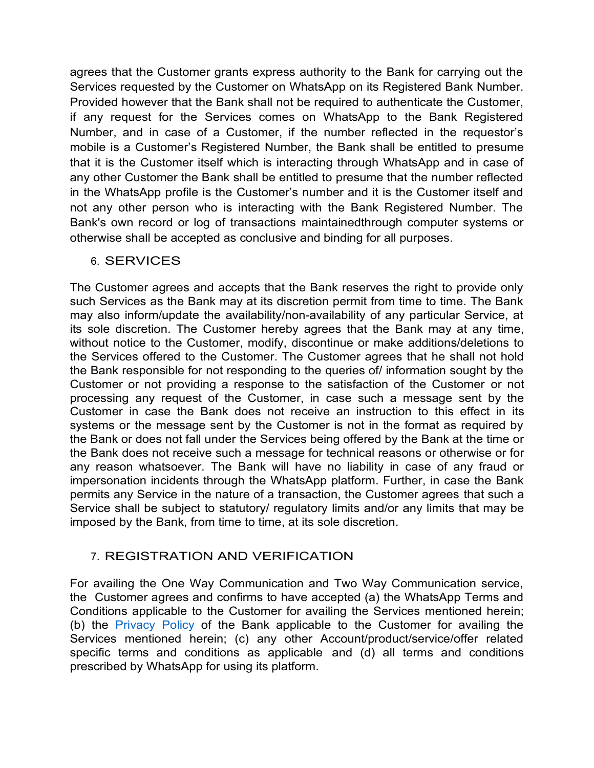agrees that the Customer grants express authority to the Bank for carrying out the Services requested by the Customer on WhatsApp on its Registered Bank Number. Provided however that the Bank shall not be required to authenticate the Customer, if any request for the Services comes on WhatsApp to the Bank Registered Number, and in case of a Customer, if the number reflected in the requestor's mobile is a Customer's Registered Number, the Bank shall be entitled to presume that it is the Customer itself which is interacting through WhatsApp and in case of any other Customer the Bank shall be entitled to presume that the number reflected in the WhatsApp profile is the Customer's number and it is the Customer itself and not any other person who is interacting with the Bank Registered Number. The Bank's own record or log of transactions maintainedthrough computer systems or otherwise shall be accepted as conclusive and binding for all purposes.

# 6. SERVICES

The Customer agrees and accepts that the Bank reserves the right to provide only such Services as the Bank may at its discretion permit from time to time. The Bank may also inform/update the availability/non-availability of any particular Service, at its sole discretion. The Customer hereby agrees that the Bank may at any time, without notice to the Customer, modify, discontinue or make additions/deletions to the Services offered to the Customer. The Customer agrees that he shall not hold the Bank responsible for not responding to the queries of/ information sought by the Customer or not providing a response to the satisfaction of the Customer or not processing any request of the Customer, in case such a message sent by the Customer in case the Bank does not receive an instruction to this effect in its systems or the message sent by the Customer is not in the format as required by the Bank or does not fall under the Services being offered by the Bank at the time or the Bank does not receive such a message for technical reasons or otherwise or for any reason whatsoever. The Bank will have no liability in case of any fraud or impersonation incidents through the WhatsApp platform. Further, in case the Bank permits any Service in the nature of a transaction, the Customer agrees that such a Service shall be subject to statutory/ regulatory limits and/or any limits that may be imposed by the Bank, from time to time, at its sole discretion.

# 7. REGISTRATION AND VERIFICATION

For availing the One Way Communication and Two Way Communication service, the Customer agrees and confirms to have accepted (a) the WhatsApp Terms and Conditions applicable to the Customer for availing the Services mentioned herein; (b) the [Privacy Policy](https://www.icicibank.com/privacy.page) of the Bank applicable to the Customer for availing the Services mentioned herein; (c) any other Account/product/service/offer related specific terms and conditions as applicable and (d) all terms and conditions prescribed by WhatsApp for using its platform.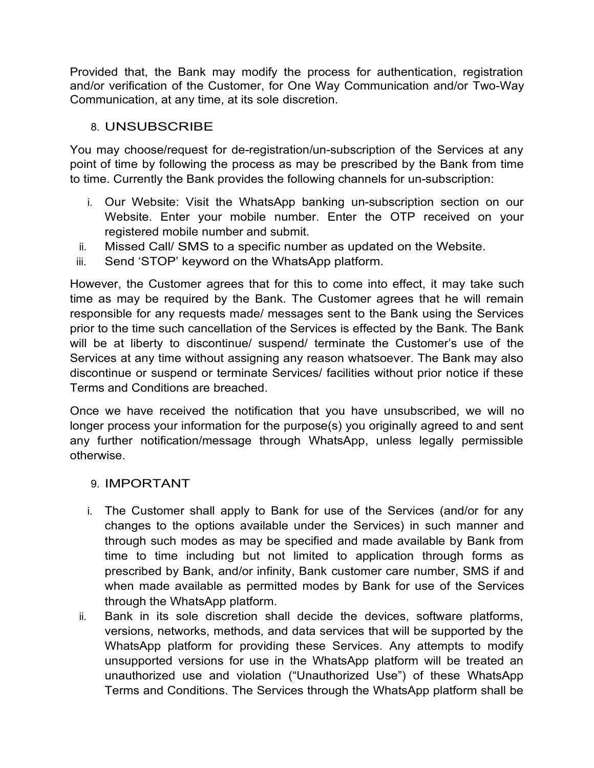Provided that, the Bank may modify the process for authentication, registration and/or verification of the Customer, for One Way Communication and/or Two-Way Communication, at any time, at its sole discretion.

# 8. UNSUBSCRIBE

You may choose/request for de-registration/un-subscription of the Services at any point of time by following the process as may be prescribed by the Bank from time to time. Currently the Bank provides the following channels for un-subscription:

- i. Our Website: Visit the WhatsApp banking un-subscription section on our Website. Enter your mobile number. Enter the OTP received on your registered mobile number and submit.
- ii. Missed Call/ SMS to a specific number as updated on the Website.
- iii. Send 'STOP' keyword on the WhatsApp platform.

However, the Customer agrees that for this to come into effect, it may take such time as may be required by the Bank. The Customer agrees that he will remain responsible for any requests made/ messages sent to the Bank using the Services prior to the time such cancellation of the Services is effected by the Bank. The Bank will be at liberty to discontinue/ suspend/ terminate the Customer's use of the Services at any time without assigning any reason whatsoever. The Bank may also discontinue or suspend or terminate Services/ facilities without prior notice if these Terms and Conditions are breached.

Once we have received the notification that you have unsubscribed, we will no longer process your information for the purpose(s) you originally agreed to and sent any further notification/message through WhatsApp, unless legally permissible otherwise.

# 9. IMPORTANT

- i. The Customer shall apply to Bank for use of the Services (and/or for any changes to the options available under the Services) in such manner and through such modes as may be specified and made available by Bank from time to time including but not limited to application through forms as prescribed by Bank, and/or infinity, Bank customer care number, SMS if and when made available as permitted modes by Bank for use of the Services through the WhatsApp platform.
- ii. Bank in its sole discretion shall decide the devices, software platforms, versions, networks, methods, and data services that will be supported by the WhatsApp platform for providing these Services. Any attempts to modify unsupported versions for use in the WhatsApp platform will be treated an unauthorized use and violation ("Unauthorized Use") of these WhatsApp Terms and Conditions. The Services through the WhatsApp platform shall be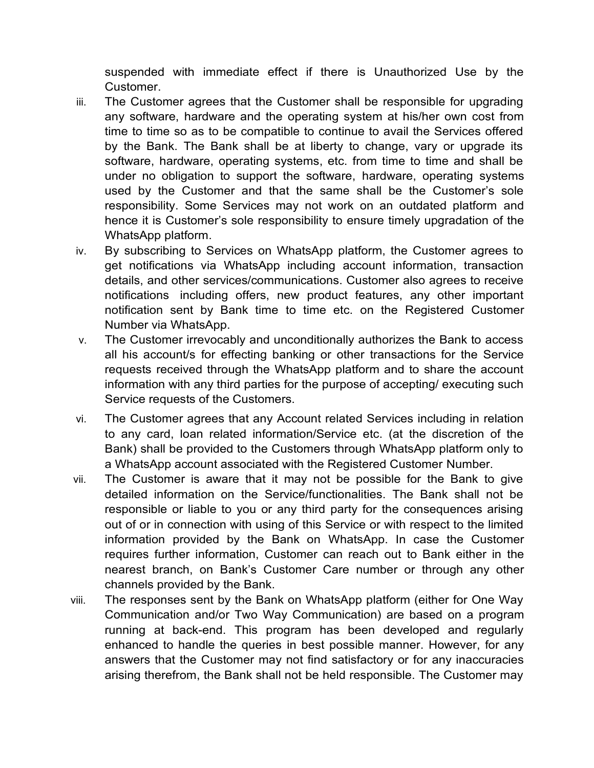suspended with immediate effect if there is Unauthorized Use by the Customer.

- iii. The Customer agrees that the Customer shall be responsible for upgrading any software, hardware and the operating system at his/her own cost from time to time so as to be compatible to continue to avail the Services offered by the Bank. The Bank shall be at liberty to change, vary or upgrade its software, hardware, operating systems, etc. from time to time and shall be under no obligation to support the software, hardware, operating systems used by the Customer and that the same shall be the Customer's sole responsibility. Some Services may not work on an outdated platform and hence it is Customer's sole responsibility to ensure timely upgradation of the WhatsApp platform.
- iv. By subscribing to Services on WhatsApp platform, the Customer agrees to get notifications via WhatsApp including account information, transaction details, and other services/communications. Customer also agrees to receive notifications including offers, new product features, any other important notification sent by Bank time to time etc. on the Registered Customer Number via WhatsApp.
- v. The Customer irrevocably and unconditionally authorizes the Bank to access all his account/s for effecting banking or other transactions for the Service requests received through the WhatsApp platform and to share the account information with any third parties for the purpose of accepting/ executing such Service requests of the Customers.
- vi. The Customer agrees that any Account related Services including in relation to any card, loan related information/Service etc. (at the discretion of the Bank) shall be provided to the Customers through WhatsApp platform only to a WhatsApp account associated with the Registered Customer Number.
- vii. The Customer is aware that it may not be possible for the Bank to give detailed information on the Service/functionalities. The Bank shall not be responsible or liable to you or any third party for the consequences arising out of or in connection with using of this Service or with respect to the limited information provided by the Bank on WhatsApp. In case the Customer requires further information, Customer can reach out to Bank either in the nearest branch, on Bank's Customer Care number or through any other channels provided by the Bank.
- viii. The responses sent by the Bank on WhatsApp platform (either for One Way Communication and/or Two Way Communication) are based on a program running at back-end. This program has been developed and regularly enhanced to handle the queries in best possible manner. However, for any answers that the Customer may not find satisfactory or for any inaccuracies arising therefrom, the Bank shall not be held responsible. The Customer may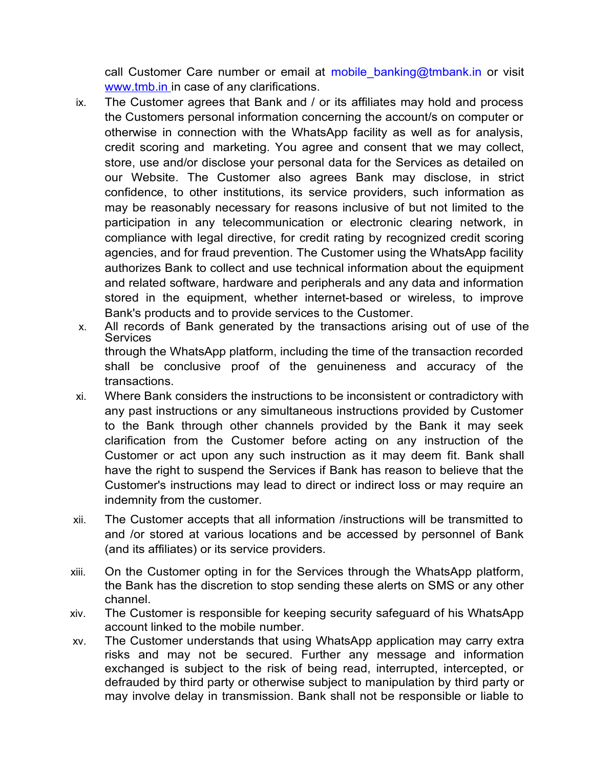call Customer Care number or email at mobile banking@tmbank.in or visit [www.tmb.in i](http://www.icicibank.com/)n case of any clarifications.

- ix. The Customer agrees that Bank and / or its affiliates may hold and process the Customers personal information concerning the account/s on computer or otherwise in connection with the WhatsApp facility as well as for analysis, credit scoring and marketing. You agree and consent that we may collect, store, use and/or disclose your personal data for the Services as detailed on our Website. The Customer also agrees Bank may disclose, in strict confidence, to other institutions, its service providers, such information as may be reasonably necessary for reasons inclusive of but not limited to the participation in any telecommunication or electronic clearing network, in compliance with legal directive, for credit rating by recognized credit scoring agencies, and for fraud prevention. The Customer using the WhatsApp facility authorizes Bank to collect and use technical information about the equipment and related software, hardware and peripherals and any data and information stored in the equipment, whether internet-based or wireless, to improve Bank's products and to provide services to the Customer.
- x. All records of Bank generated by the transactions arising out of use of the **Services** through the WhatsApp platform, including the time of the transaction recorded shall be conclusive proof of the genuineness and accuracy of the transactions.
- xi. Where Bank considers the instructions to be inconsistent or contradictory with any past instructions or any simultaneous instructions provided by Customer to the Bank through other channels provided by the Bank it may seek clarification from the Customer before acting on any instruction of the Customer or act upon any such instruction as it may deem fit. Bank shall have the right to suspend the Services if Bank has reason to believe that the Customer's instructions may lead to direct or indirect loss or may require an indemnity from the customer.
- xii. The Customer accepts that all information /instructions will be transmitted to and /or stored at various locations and be accessed by personnel of Bank (and its affiliates) or its service providers.
- xiii. On the Customer opting in for the Services through the WhatsApp platform, the Bank has the discretion to stop sending these alerts on SMS or any other channel.
- xiv. The Customer is responsible for keeping security safeguard of his WhatsApp account linked to the mobile number.
- xv. The Customer understands that using WhatsApp application may carry extra risks and may not be secured. Further any message and information exchanged is subject to the risk of being read, interrupted, intercepted, or defrauded by third party or otherwise subject to manipulation by third party or may involve delay in transmission. Bank shall not be responsible or liable to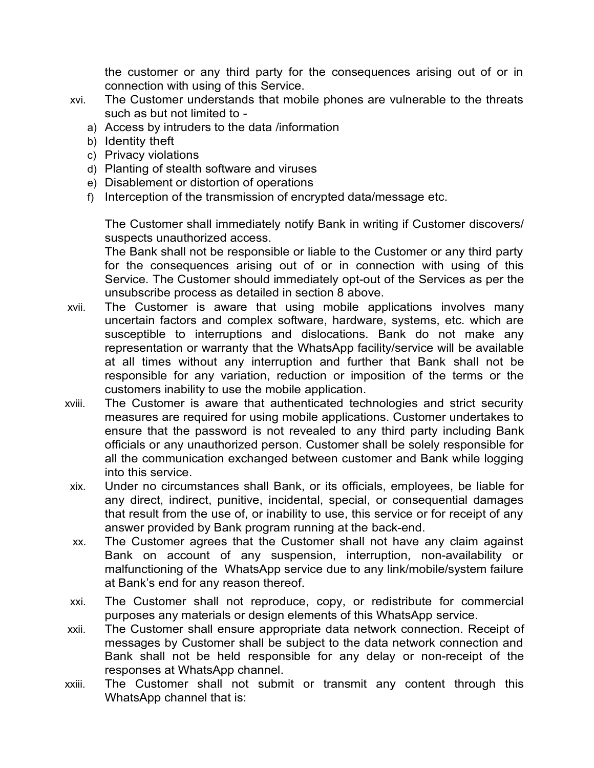the customer or any third party for the consequences arising out of or in connection with using of this Service.

- xvi. The Customer understands that mobile phones are vulnerable to the threats such as but not limited to
	- a) Access by intruders to the data /information
	- b) Identity theft
	- c) Privacy violations
	- d) Planting of stealth software and viruses
	- e) Disablement or distortion of operations
	- f) Interception of the transmission of encrypted data/message etc.

The Customer shall immediately notify Bank in writing if Customer discovers/ suspects unauthorized access.

The Bank shall not be responsible or liable to the Customer or any third party for the consequences arising out of or in connection with using of this Service. The Customer should immediately opt-out of the Services as per the unsubscribe process as detailed in section 8 above.

- xvii. The Customer is aware that using mobile applications involves many uncertain factors and complex software, hardware, systems, etc. which are susceptible to interruptions and dislocations. Bank do not make any representation or warranty that the WhatsApp facility/service will be available at all times without any interruption and further that Bank shall not be responsible for any variation, reduction or imposition of the terms or the customers inability to use the mobile application.
- xviii. The Customer is aware that authenticated technologies and strict security measures are required for using mobile applications. Customer undertakes to ensure that the password is not revealed to any third party including Bank officials or any unauthorized person. Customer shall be solely responsible for all the communication exchanged between customer and Bank while logging into this service.
- xix. Under no circumstances shall Bank, or its officials, employees, be liable for any direct, indirect, punitive, incidental, special, or consequential damages that result from the use of, or inability to use, this service or for receipt of any answer provided by Bank program running at the back-end.
- xx. The Customer agrees that the Customer shall not have any claim against Bank on account of any suspension, interruption, non-availability or malfunctioning of the WhatsApp service due to any link/mobile/system failure at Bank's end for any reason thereof.
- xxi. The Customer shall not reproduce, copy, or redistribute for commercial purposes any materials or design elements of this WhatsApp service.
- xxii. The Customer shall ensure appropriate data network connection. Receipt of messages by Customer shall be subject to the data network connection and Bank shall not be held responsible for any delay or non-receipt of the responses at WhatsApp channel.
- xxiii. The Customer shall not submit or transmit any content through this WhatsApp channel that is: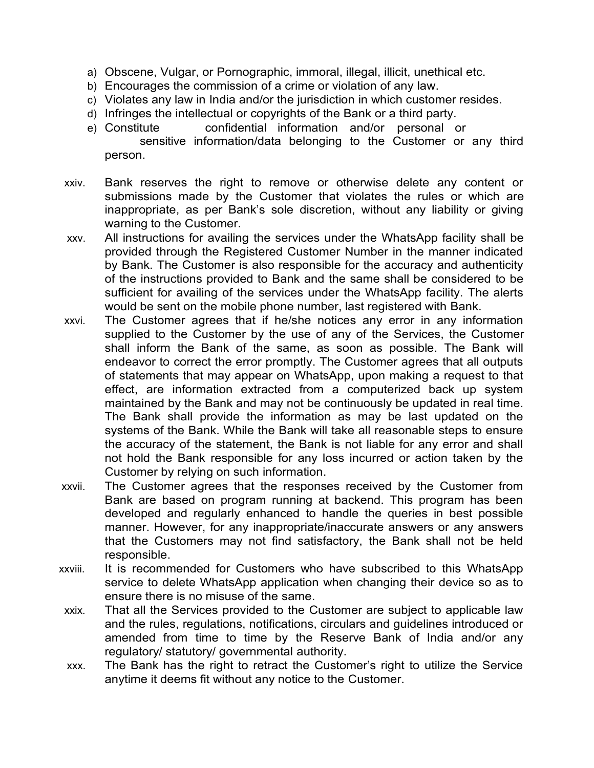- a) Obscene, Vulgar, or Pornographic, immoral, illegal, illicit, unethical etc.
- b) Encourages the commission of a crime or violation of any law.
- c) Violates any law in India and/or the jurisdiction in which customer resides.
- d) Infringes the intellectual or copyrights of the Bank or a third party.
- e) Constitute confidential information and/or personal or sensitive information/data belonging to the Customer or any third person.
- xxiv. Bank reserves the right to remove or otherwise delete any content or submissions made by the Customer that violates the rules or which are inappropriate, as per Bank's sole discretion, without any liability or giving warning to the Customer.
- xxv. All instructions for availing the services under the WhatsApp facility shall be provided through the Registered Customer Number in the manner indicated by Bank. The Customer is also responsible for the accuracy and authenticity of the instructions provided to Bank and the same shall be considered to be sufficient for availing of the services under the WhatsApp facility. The alerts would be sent on the mobile phone number, last registered with Bank.
- xxvi. The Customer agrees that if he/she notices any error in any information supplied to the Customer by the use of any of the Services, the Customer shall inform the Bank of the same, as soon as possible. The Bank will endeavor to correct the error promptly. The Customer agrees that all outputs of statements that may appear on WhatsApp, upon making a request to that effect, are information extracted from a computerized back up system maintained by the Bank and may not be continuously be updated in real time. The Bank shall provide the information as may be last updated on the systems of the Bank. While the Bank will take all reasonable steps to ensure the accuracy of the statement, the Bank is not liable for any error and shall not hold the Bank responsible for any loss incurred or action taken by the Customer by relying on such information.
- xxvii. The Customer agrees that the responses received by the Customer from Bank are based on program running at backend. This program has been developed and regularly enhanced to handle the queries in best possible manner. However, for any inappropriate/inaccurate answers or any answers that the Customers may not find satisfactory, the Bank shall not be held responsible.
- xxviii. It is recommended for Customers who have subscribed to this WhatsApp service to delete WhatsApp application when changing their device so as to ensure there is no misuse of the same.
- xxix. That all the Services provided to the Customer are subject to applicable law and the rules, regulations, notifications, circulars and guidelines introduced or amended from time to time by the Reserve Bank of India and/or any regulatory/ statutory/ governmental authority.
- xxx. The Bank has the right to retract the Customer's right to utilize the Service anytime it deems fit without any notice to the Customer.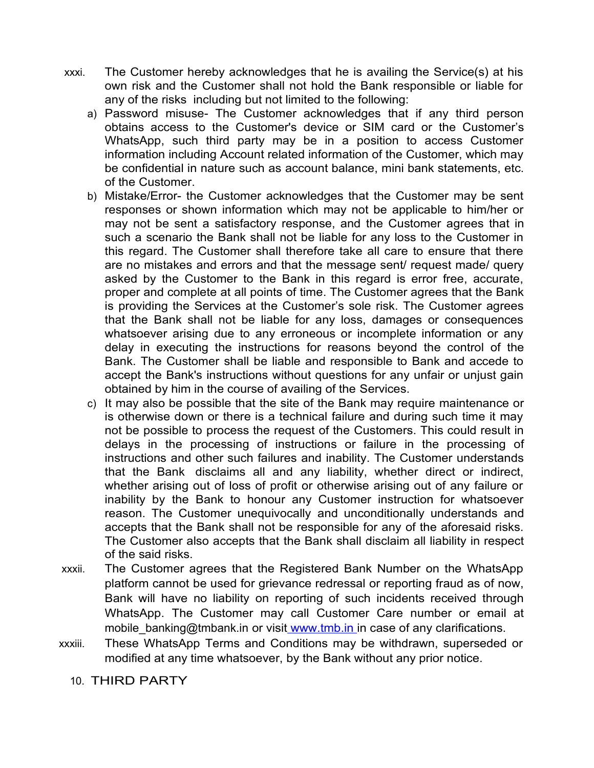- xxxi. The Customer hereby acknowledges that he is availing the Service(s) at his own risk and the Customer shall not hold the Bank responsible or liable for any of the risks including but not limited to the following:
	- a) Password misuse- The Customer acknowledges that if any third person obtains access to the Customer's device or SIM card or the Customer's WhatsApp, such third party may be in a position to access Customer information including Account related information of the Customer, which may be confidential in nature such as account balance, mini bank statements, etc. of the Customer.
	- b) Mistake/Error- the Customer acknowledges that the Customer may be sent responses or shown information which may not be applicable to him/her or may not be sent a satisfactory response, and the Customer agrees that in such a scenario the Bank shall not be liable for any loss to the Customer in this regard. The Customer shall therefore take all care to ensure that there are no mistakes and errors and that the message sent/ request made/ query asked by the Customer to the Bank in this regard is error free, accurate, proper and complete at all points of time. The Customer agrees that the Bank is providing the Services at the Customer's sole risk. The Customer agrees that the Bank shall not be liable for any loss, damages or consequences whatsoever arising due to any erroneous or incomplete information or any delay in executing the instructions for reasons beyond the control of the Bank. The Customer shall be liable and responsible to Bank and accede to accept the Bank's instructions without questions for any unfair or unjust gain obtained by him in the course of availing of the Services.
	- c) It may also be possible that the site of the Bank may require maintenance or is otherwise down or there is a technical failure and during such time it may not be possible to process the request of the Customers. This could result in delays in the processing of instructions or failure in the processing of instructions and other such failures and inability. The Customer understands that the Bank disclaims all and any liability, whether direct or indirect, whether arising out of loss of profit or otherwise arising out of any failure or inability by the Bank to honour any Customer instruction for whatsoever reason. The Customer unequivocally and unconditionally understands and accepts that the Bank shall not be responsible for any of the aforesaid risks. The Customer also accepts that the Bank shall disclaim all liability in respect of the said risks.
- xxxii. The Customer agrees that the Registered Bank Number on the WhatsApp platform cannot be used for grievance redressal or reporting fraud as of now, Bank will have no liability on reporting of such incidents received through WhatsApp. The Customer may call Customer Care number or email at mobile banking@tmbank.in or visi[t www.tmb.in i](http://www.icicibank.com/)n case of any clarifications.
- xxxiii. These WhatsApp Terms and Conditions may be withdrawn, superseded or modified at any time whatsoever, by the Bank without any prior notice.

10. THIRD PARTY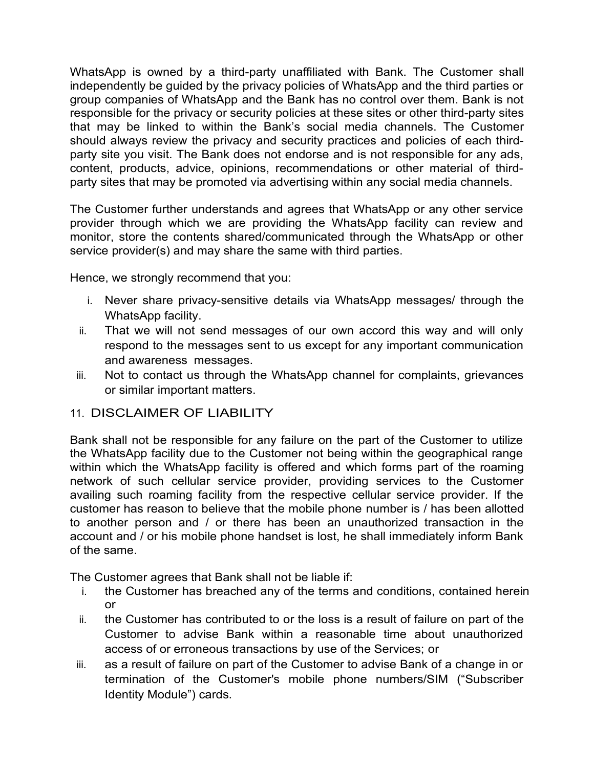WhatsApp is owned by a third-party unaffiliated with Bank. The Customer shall independently be guided by the privacy policies of WhatsApp and the third parties or group companies of WhatsApp and the Bank has no control over them. Bank is not responsible for the privacy or security policies at these sites or other third-party sites that may be linked to within the Bank's social media channels. The Customer should always review the privacy and security practices and policies of each thirdparty site you visit. The Bank does not endorse and is not responsible for any ads, content, products, advice, opinions, recommendations or other material of thirdparty sites that may be promoted via advertising within any social media channels.

The Customer further understands and agrees that WhatsApp or any other service provider through which we are providing the WhatsApp facility can review and monitor, store the contents shared/communicated through the WhatsApp or other service provider(s) and may share the same with third parties.

Hence, we strongly recommend that you:

- i. Never share privacy-sensitive details via WhatsApp messages/ through the WhatsApp facility.
- ii. That we will not send messages of our own accord this way and will only respond to the messages sent to us except for any important communication and awareness messages.
- iii. Not to contact us through the WhatsApp channel for complaints, grievances or similar important matters.
- 11. DISCLAIMER OF LIABILITY

Bank shall not be responsible for any failure on the part of the Customer to utilize the WhatsApp facility due to the Customer not being within the geographical range within which the WhatsApp facility is offered and which forms part of the roaming network of such cellular service provider, providing services to the Customer availing such roaming facility from the respective cellular service provider. If the customer has reason to believe that the mobile phone number is / has been allotted to another person and / or there has been an unauthorized transaction in the account and / or his mobile phone handset is lost, he shall immediately inform Bank of the same.

The Customer agrees that Bank shall not be liable if:

- i. the Customer has breached any of the terms and conditions, contained herein or
- ii. the Customer has contributed to or the loss is a result of failure on part of the Customer to advise Bank within a reasonable time about unauthorized access of or erroneous transactions by use of the Services; or
- iii. as a result of failure on part of the Customer to advise Bank of a change in or termination of the Customer's mobile phone numbers/SIM ("Subscriber Identity Module") cards.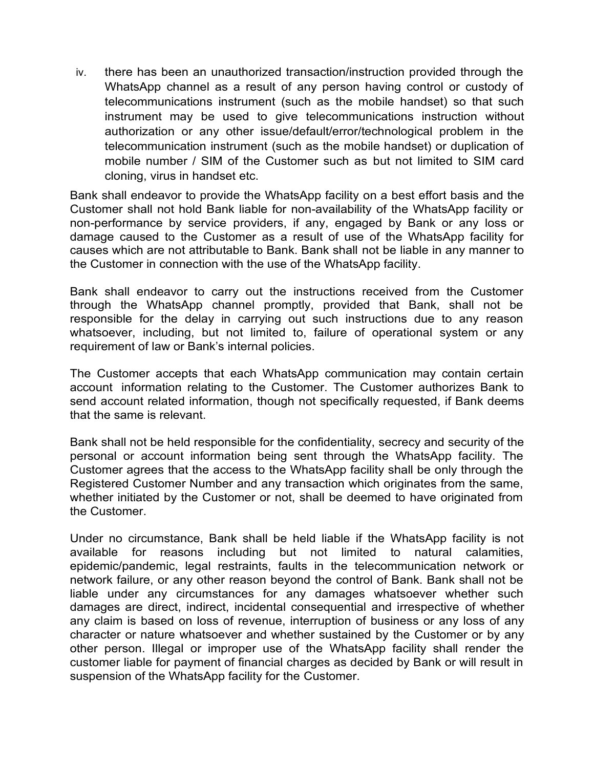iv. there has been an unauthorized transaction/instruction provided through the WhatsApp channel as a result of any person having control or custody of telecommunications instrument (such as the mobile handset) so that such instrument may be used to give telecommunications instruction without authorization or any other issue/default/error/technological problem in the telecommunication instrument (such as the mobile handset) or duplication of mobile number / SIM of the Customer such as but not limited to SIM card cloning, virus in handset etc.

Bank shall endeavor to provide the WhatsApp facility on a best effort basis and the Customer shall not hold Bank liable for non-availability of the WhatsApp facility or non-performance by service providers, if any, engaged by Bank or any loss or damage caused to the Customer as a result of use of the WhatsApp facility for causes which are not attributable to Bank. Bank shall not be liable in any manner to the Customer in connection with the use of the WhatsApp facility.

Bank shall endeavor to carry out the instructions received from the Customer through the WhatsApp channel promptly, provided that Bank, shall not be responsible for the delay in carrying out such instructions due to any reason whatsoever, including, but not limited to, failure of operational system or any requirement of law or Bank's internal policies.

The Customer accepts that each WhatsApp communication may contain certain account information relating to the Customer. The Customer authorizes Bank to send account related information, though not specifically requested, if Bank deems that the same is relevant.

Bank shall not be held responsible for the confidentiality, secrecy and security of the personal or account information being sent through the WhatsApp facility. The Customer agrees that the access to the WhatsApp facility shall be only through the Registered Customer Number and any transaction which originates from the same, whether initiated by the Customer or not, shall be deemed to have originated from the Customer.

Under no circumstance, Bank shall be held liable if the WhatsApp facility is not available for reasons including but not limited to natural calamities, epidemic/pandemic, legal restraints, faults in the telecommunication network or network failure, or any other reason beyond the control of Bank. Bank shall not be liable under any circumstances for any damages whatsoever whether such damages are direct, indirect, incidental consequential and irrespective of whether any claim is based on loss of revenue, interruption of business or any loss of any character or nature whatsoever and whether sustained by the Customer or by any other person. Illegal or improper use of the WhatsApp facility shall render the customer liable for payment of financial charges as decided by Bank or will result in suspension of the WhatsApp facility for the Customer.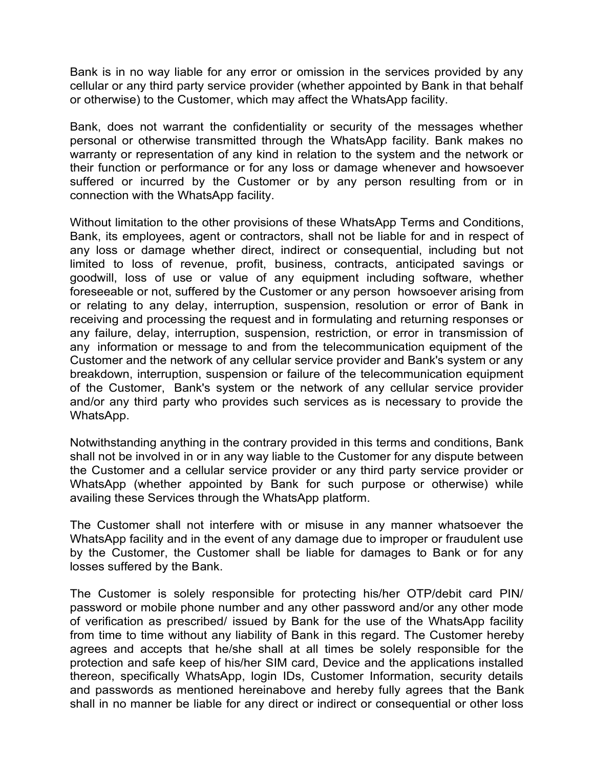Bank is in no way liable for any error or omission in the services provided by any cellular or any third party service provider (whether appointed by Bank in that behalf or otherwise) to the Customer, which may affect the WhatsApp facility.

Bank, does not warrant the confidentiality or security of the messages whether personal or otherwise transmitted through the WhatsApp facility. Bank makes no warranty or representation of any kind in relation to the system and the network or their function or performance or for any loss or damage whenever and howsoever suffered or incurred by the Customer or by any person resulting from or in connection with the WhatsApp facility.

Without limitation to the other provisions of these WhatsApp Terms and Conditions, Bank, its employees, agent or contractors, shall not be liable for and in respect of any loss or damage whether direct, indirect or consequential, including but not limited to loss of revenue, profit, business, contracts, anticipated savings or goodwill, loss of use or value of any equipment including software, whether foreseeable or not, suffered by the Customer or any person howsoever arising from or relating to any delay, interruption, suspension, resolution or error of Bank in receiving and processing the request and in formulating and returning responses or any failure, delay, interruption, suspension, restriction, or error in transmission of any information or message to and from the telecommunication equipment of the Customer and the network of any cellular service provider and Bank's system or any breakdown, interruption, suspension or failure of the telecommunication equipment of the Customer, Bank's system or the network of any cellular service provider and/or any third party who provides such services as is necessary to provide the WhatsApp.

Notwithstanding anything in the contrary provided in this terms and conditions, Bank shall not be involved in or in any way liable to the Customer for any dispute between the Customer and a cellular service provider or any third party service provider or WhatsApp (whether appointed by Bank for such purpose or otherwise) while availing these Services through the WhatsApp platform.

The Customer shall not interfere with or misuse in any manner whatsoever the WhatsApp facility and in the event of any damage due to improper or fraudulent use by the Customer, the Customer shall be liable for damages to Bank or for any losses suffered by the Bank.

The Customer is solely responsible for protecting his/her OTP/debit card PIN/ password or mobile phone number and any other password and/or any other mode of verification as prescribed/ issued by Bank for the use of the WhatsApp facility from time to time without any liability of Bank in this regard. The Customer hereby agrees and accepts that he/she shall at all times be solely responsible for the protection and safe keep of his/her SIM card, Device and the applications installed thereon, specifically WhatsApp, login IDs, Customer Information, security details and passwords as mentioned hereinabove and hereby fully agrees that the Bank shall in no manner be liable for any direct or indirect or consequential or other loss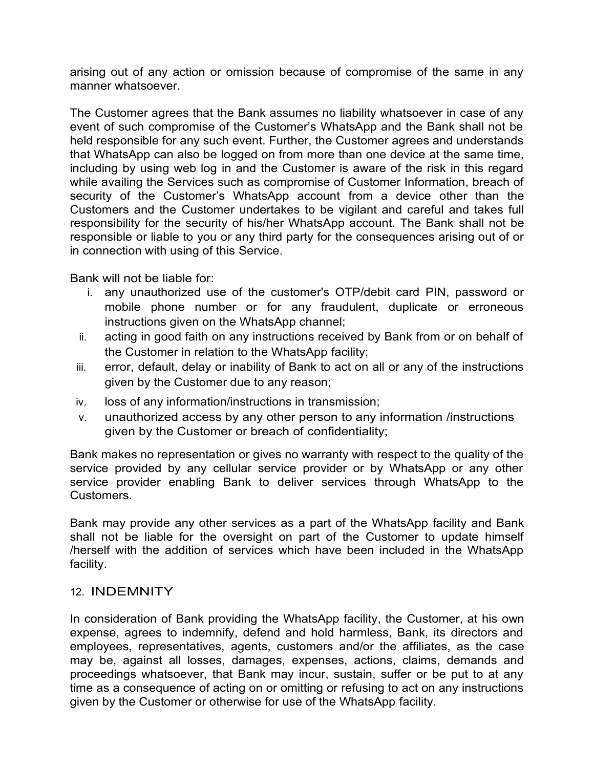arising out of any action or omission because of compromise of the same in any manner whatsoever.

The Customer agrees that the Bank assumes no liability whatsoever in case of any event of such compromise of the Customer's WhatsApp and the Bank shall not be held responsible for any such event. Further, the Customer agrees and understands that WhatsApp can also be logged on from more than one device at the same time, including by using web log in and the Customer is aware of the risk in this regard while availing the Services such as compromise of Customer Information, breach of security of the Customer's WhatsApp account from a device other than the Customers and the Customer undertakes to be vigilant and careful and takes full responsibility for the security of his/her WhatsApp account. The Bank shall not be responsible or liable to you or any third party for the consequences arising out of or in connection with using of this Service.

Bank will not be liable for:

- i. any unauthorized use of the customer's OTP/debit card PIN, password or mobile phone number or for any fraudulent, duplicate or erroneous instructions given on the WhatsApp channel;
- ii. acting in good faith on any instructions received by Bank from or on behalf of the Customer in relation to the WhatsApp facility;
- iii. error, default, delay or inability of Bank to act on all or any of the instructions given by the Customer due to any reason;
- iv. loss of any information/instructions in transmission;
- v. unauthorized access by any other person to any information /instructions given by the Customer or breach of confidentiality;

Bank makes no representation or gives no warranty with respect to the quality of the service provided by any cellular service provider or by WhatsApp or any other service provider enabling Bank to deliver services through WhatsApp to the Customers.

Bank may provide any other services as a part of the WhatsApp facility and Bank shall not be liable for the oversight on part of the Customer to update himself /herself with the addition of services which have been included in the WhatsApp facility.

### 12. INDEMNITY

In consideration of Bank providing the WhatsApp facility, the Customer, at his own expense, agrees to indemnify, defend and hold harmless, Bank, its directors and employees, representatives, agents, customers and/or the affiliates, as the case may be, against all losses, damages, expenses, actions, claims, demands and proceedings whatsoever, that Bank may incur, sustain, suffer or be put to at any time as a consequence of acting on or omitting or refusing to act on any instructions given by the Customer or otherwise for use of the WhatsApp facility.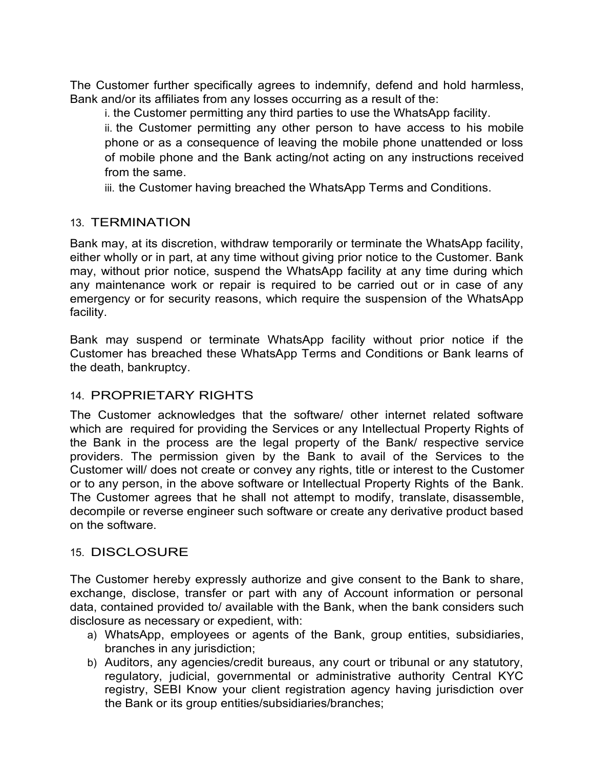The Customer further specifically agrees to indemnify, defend and hold harmless, Bank and/or its affiliates from any losses occurring as a result of the:

i. the Customer permitting any third parties to use the WhatsApp facility.

ii. the Customer permitting any other person to have access to his mobile phone or as a consequence of leaving the mobile phone unattended or loss of mobile phone and the Bank acting/not acting on any instructions received from the same.

iii. the Customer having breached the WhatsApp Terms and Conditions.

# 13. TERMINATION

Bank may, at its discretion, withdraw temporarily or terminate the WhatsApp facility, either wholly or in part, at any time without giving prior notice to the Customer. Bank may, without prior notice, suspend the WhatsApp facility at any time during which any maintenance work or repair is required to be carried out or in case of any emergency or for security reasons, which require the suspension of the WhatsApp facility.

Bank may suspend or terminate WhatsApp facility without prior notice if the Customer has breached these WhatsApp Terms and Conditions or Bank learns of the death, bankruptcy.

# 14. PROPRIETARY RIGHTS

The Customer acknowledges that the software/ other internet related software which are required for providing the Services or any Intellectual Property Rights of the Bank in the process are the legal property of the Bank/ respective service providers. The permission given by the Bank to avail of the Services to the Customer will/ does not create or convey any rights, title or interest to the Customer or to any person, in the above software or Intellectual Property Rights of the Bank. The Customer agrees that he shall not attempt to modify, translate, disassemble, decompile or reverse engineer such software or create any derivative product based on the software.

### 15. DISCLOSURE

The Customer hereby expressly authorize and give consent to the Bank to share, exchange, disclose, transfer or part with any of Account information or personal data, contained provided to/ available with the Bank, when the bank considers such disclosure as necessary or expedient, with:

- a) WhatsApp, employees or agents of the Bank, group entities, subsidiaries, branches in any jurisdiction;
- b) Auditors, any agencies/credit bureaus, any court or tribunal or any statutory, regulatory, judicial, governmental or administrative authority Central KYC registry, SEBI Know your client registration agency having jurisdiction over the Bank or its group entities/subsidiaries/branches;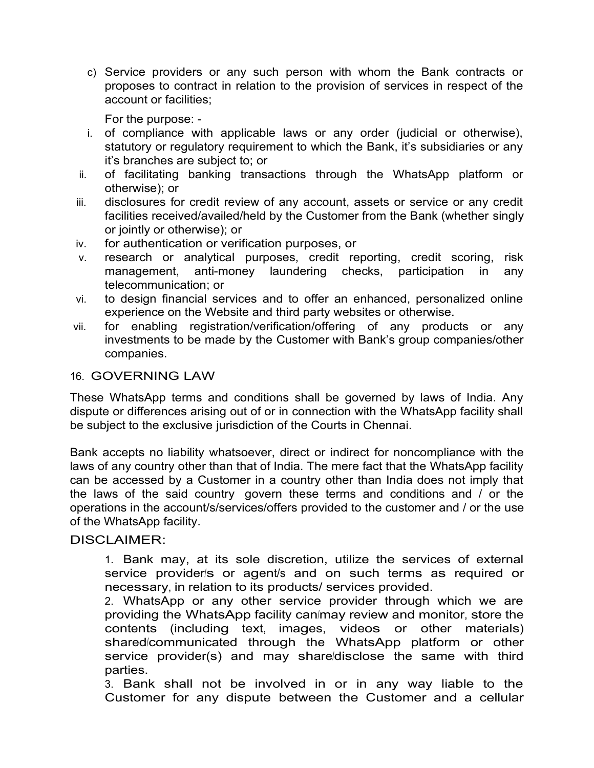c) Service providers or any such person with whom the Bank contracts or proposes to contract in relation to the provision of services in respect of the account or facilities;

For the purpose: -

- i. of compliance with applicable laws or any order (judicial or otherwise), statutory or regulatory requirement to which the Bank, it's subsidiaries or any it's branches are subject to; or
- ii. of facilitating banking transactions through the WhatsApp platform or otherwise); or
- iii. disclosures for credit review of any account, assets or service or any credit facilities received/availed/held by the Customer from the Bank (whether singly or jointly or otherwise); or
- iv. for authentication or verification purposes, or
- v. research or analytical purposes, credit reporting, credit scoring, risk management, anti-money laundering checks, participation in any telecommunication; or
- vi. to design financial services and to offer an enhanced, personalized online experience on the Website and third party websites or otherwise.
- vii. for enabling registration/verification/offering of any products or any investments to be made by the Customer with Bank's group companies/other companies.

### 16. GOVERNING LAW

These WhatsApp terms and conditions shall be governed by laws of India. Any dispute or differences arising out of or in connection with the WhatsApp facility shall be subject to the exclusive jurisdiction of the Courts in Chennai.

Bank accepts no liability whatsoever, direct or indirect for noncompliance with the laws of any country other than that of India. The mere fact that the WhatsApp facility can be accessed by a Customer in a country other than India does not imply that the laws of the said country govern these terms and conditions and / or the operations in the account/s/services/offers provided to the customer and / or the use of the WhatsApp facility.

### DISCLAIMER:

1. Bank may, at its sole discretion, utilize the services of external service provider/s or agent/s and on such terms as required or necessary, in relation to its products/ services provided.

2. WhatsApp or any other service provider through which we are providing the WhatsApp facility can/may review and monitor, store the contents (including text, images, videos or other materials) shared/communicated through the WhatsApp platform or other service provider(s) and may share/disclose the same with third parties.

3. Bank shall not be involved in or in any way liable to the Customer for any dispute between the Customer and a cellular